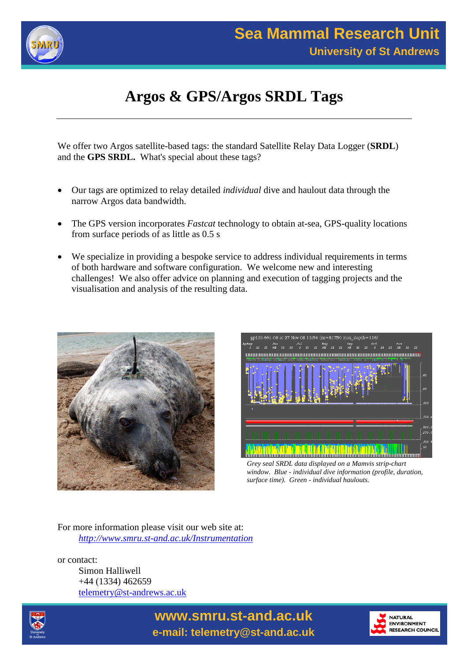

# **Argos & GPS/Argos SRDL Tags**

We offer two Argos satellite-based tags: the standard Satellite Relay Data Logger (**SRDL**) and the **GPS SRDL.** What's special about these tags?

- Our tags are optimized to relay detailed *individual* dive and haulout data through the narrow Argos data bandwidth.
- The GPS version incorporates *Fastcat* technology to obtain at-sea, GPS-quality locations from surface periods of as little as 0.5 s
- We specialize in providing a bespoke service to address individual requirements in terms of both hardware and software configuration. We welcome new and interesting challenges! We also offer advice on planning and execution of tagging projects and the visualisation and analysis of the resulting data.





*Grey seal SRDL data displayed on a Mamvis strip-chart window. Blue - individual dive information (profile, duration, surface time). Green - individual haulouts.*

For more information please visit our web site at: *http://www.smru.st-and.ac.uk/Instrumentation*

or contact: Simon Halliwell +44 (1334) 462659 telemetry@st-andrews.ac.uk





**www.smru.st-and.ac.uk e-mail: telemetry@st-and.ac.uk**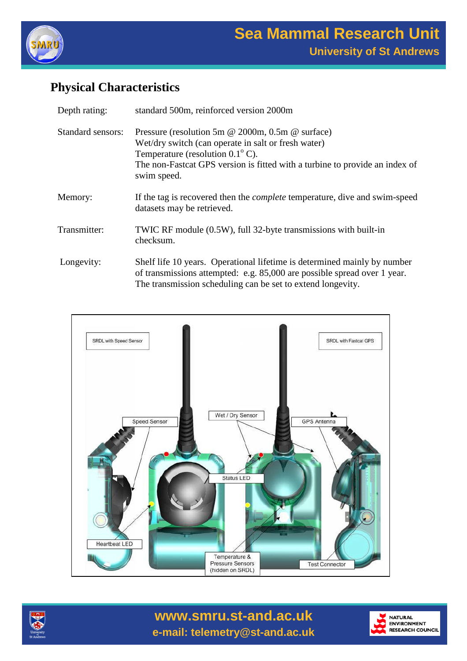

# **Physical Characteristics**

| Depth rating:     | standard 500m, reinforced version 2000m                                                                                                                                                                                                            |
|-------------------|----------------------------------------------------------------------------------------------------------------------------------------------------------------------------------------------------------------------------------------------------|
| Standard sensors: | Pressure (resolution 5m @ 2000m, 0.5m @ surface)<br>Wet/dry switch (can operate in salt or fresh water)<br>Temperature (resolution $0.1^{\circ}$ C).<br>The non-Fastcat GPS version is fitted with a turbine to provide an index of<br>swim speed. |
| Memory:           | If the tag is recovered then the <i>complete</i> temperature, dive and swim-speed<br>datasets may be retrieved.                                                                                                                                    |
| Transmitter:      | TWIC RF module (0.5W), full 32-byte transmissions with built-in<br>checksum.                                                                                                                                                                       |
| Longevity:        | Shelf life 10 years. Operational lifetime is determined mainly by number<br>of transmissions attempted: e.g. 85,000 are possible spread over 1 year.<br>The transmission scheduling can be set to extend longevity.                                |





**www.smru.st-and.ac.uk e-mail: telemetry@st-and.ac.uk**

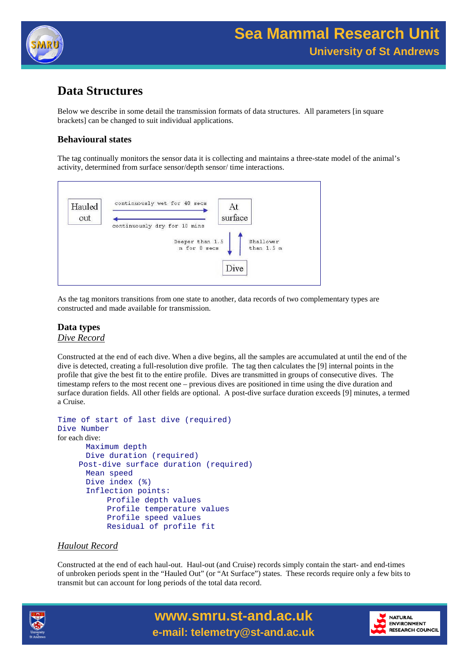

### **Data Structures**

Below we describe in some detail the transmission formats of data structures. All parameters [in square brackets] can be changed to suit individual applications.

#### **Behavioural states**

The tag continually monitors the sensor data it is collecting and maintains a three-state model of the animal's activity, determined from surface sensor/depth sensor/ time interactions.



As the tag monitors transitions from one state to another, data records of two complementary types are constructed and made available for transmission.

#### **Data types** *Dive Record*

Constructed at the end of each dive. When a dive begins, all the samples are accumulated at until the end of the dive is detected, creating a full-resolution dive profile. The tag then calculates the [9] internal points in the profile that give the best fit to the entire profile. Dives are transmitted in groups of consecutive dives. The timestamp refers to the most recent one – previous dives are positioned in time using the dive duration and surface duration fields. All other fields are optional. A post-dive surface duration exceeds [9] minutes, a termed a Cruise.

```
Time of start of last dive (required)
Dive Number
for each dive:
      Maximum depth
      Dive duration (required)
    Post-dive surface duration (required)
      Mean speed
      Dive index (%)
      Inflection points:
          Profile depth values
          Profile temperature values
          Profile speed values
          Residual of profile fit
```
#### *Haulout Record*

Constructed at the end of each haul-out. Haul-out (and Cruise) records simply contain the start- and end-times of unbroken periods spent in the "Hauled Out" (or "At Surface") states. These records require only a few bits to transmit but can account for long periods of the total data record.